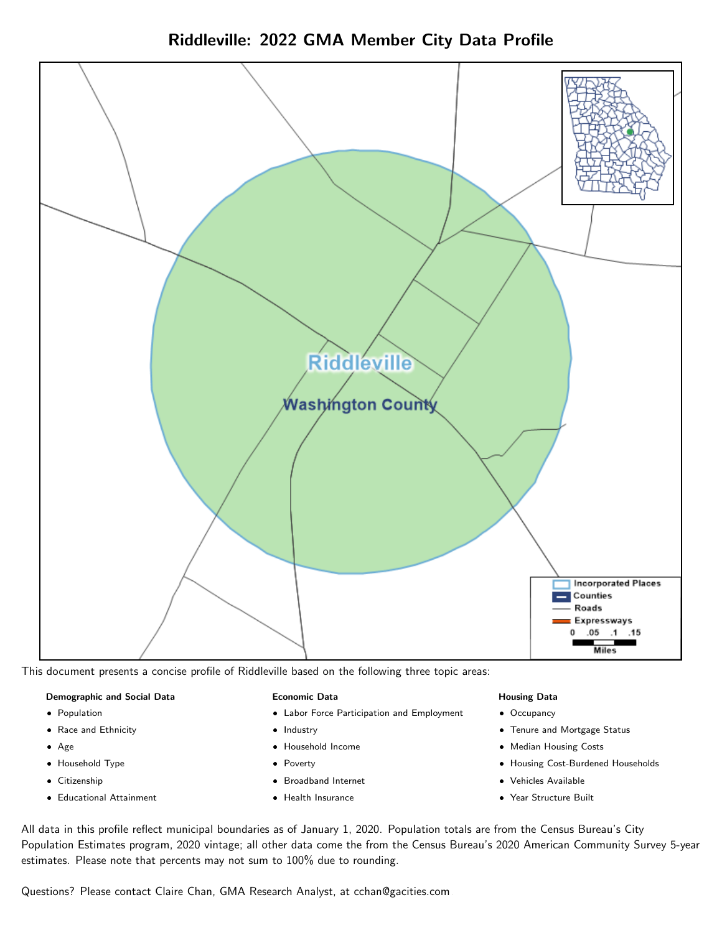Riddleville: 2022 GMA Member City Data Profile



This document presents a concise profile of Riddleville based on the following three topic areas:

#### Demographic and Social Data

- **•** Population
- Race and Ethnicity
- Age
- Household Type
- **Citizenship**
- Educational Attainment

#### Economic Data

- Labor Force Participation and Employment
- Industry
- Household Income
- Poverty
- Broadband Internet
- Health Insurance

#### Housing Data

- Occupancy
- Tenure and Mortgage Status
- Median Housing Costs
- Housing Cost-Burdened Households
- Vehicles Available
- Year Structure Built

All data in this profile reflect municipal boundaries as of January 1, 2020. Population totals are from the Census Bureau's City Population Estimates program, 2020 vintage; all other data come the from the Census Bureau's 2020 American Community Survey 5-year estimates. Please note that percents may not sum to 100% due to rounding.

Questions? Please contact Claire Chan, GMA Research Analyst, at [cchan@gacities.com.](mailto:cchan@gacities.com)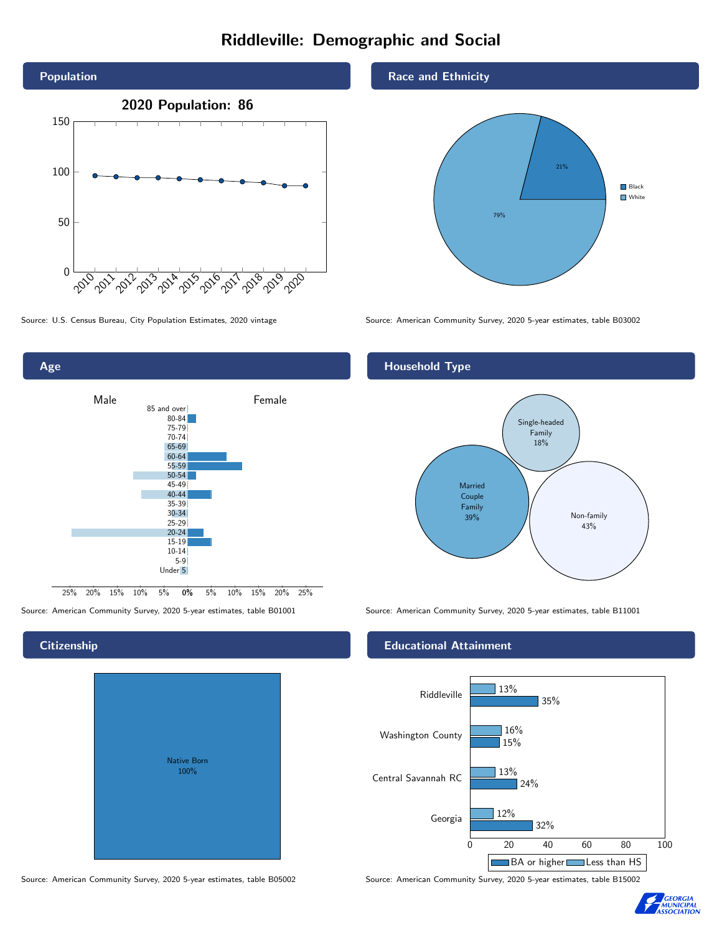# Riddleville: Demographic and Social





## **Citizenship**

| Native Born<br>100% |  |
|---------------------|--|

Race and Ethnicity



Source: U.S. Census Bureau, City Population Estimates, 2020 vintage Source: American Community Survey, 2020 5-year estimates, table B03002

## Household Type



Source: American Community Survey, 2020 5-year estimates, table B01001 Source: American Community Survey, 2020 5-year estimates, table B11001

### Educational Attainment



Source: American Community Survey, 2020 5-year estimates, table B05002 Source: American Community Survey, 2020 5-year estimates, table B15002

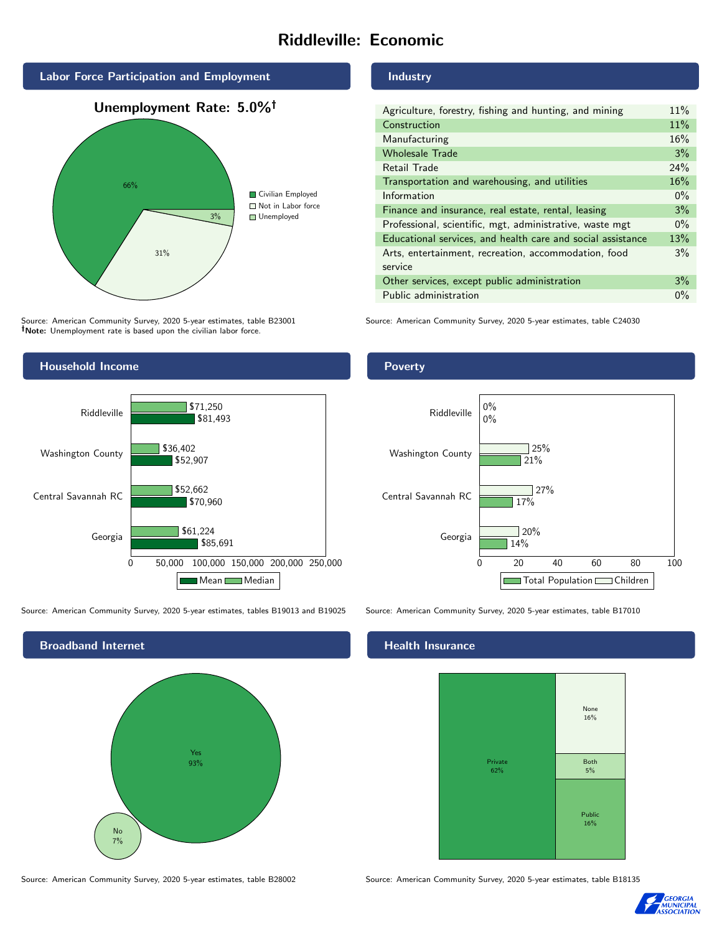# Riddleville: Economic



Source: American Community Survey, 2020 5-year estimates, table B23001 Note: Unemployment rate is based upon the civilian labor force.



Source: American Community Survey, 2020 5-year estimates, tables B19013 and B19025 Source: American Community Survey, 2020 5-year estimates, table B17010



Industry

| Agriculture, forestry, fishing and hunting, and mining      | 11% |
|-------------------------------------------------------------|-----|
| Construction                                                | 11% |
| Manufacturing                                               | 16% |
| <b>Wholesale Trade</b>                                      | 3%  |
| Retail Trade                                                | 24% |
| Transportation and warehousing, and utilities               |     |
| Information                                                 |     |
| Finance and insurance, real estate, rental, leasing         |     |
| Professional, scientific, mgt, administrative, waste mgt    |     |
| Educational services, and health care and social assistance |     |
| Arts, entertainment, recreation, accommodation, food        |     |
| service                                                     |     |
| Other services, except public administration                |     |
| Public administration                                       |     |

Source: American Community Survey, 2020 5-year estimates, table C24030

### Poverty



#### Health Insurance



Source: American Community Survey, 2020 5-year estimates, table B28002 Source: American Community Survey, 2020 5-year estimates, table B18135